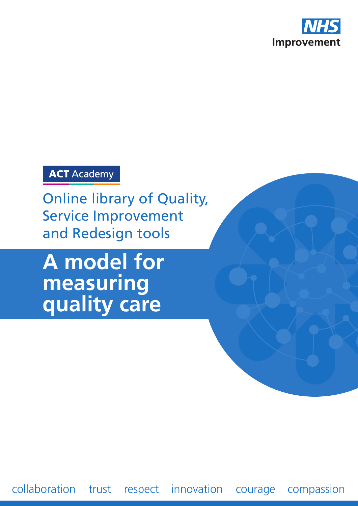

## **ACT** Academy

Online library of Quality, Service Improvement and Redesign tools

# **A model for measuring quality care**

collaboration trust respect innovation courage compassion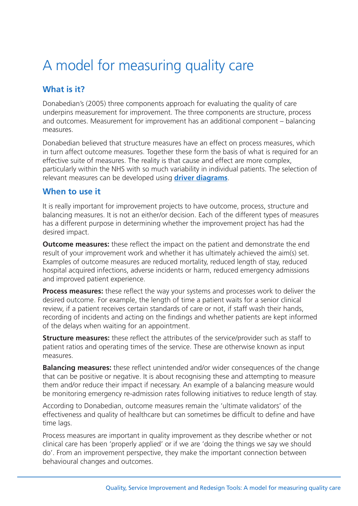# A model for measuring quality care

#### **What is it?**

Donabedian's (2005) three components approach for evaluating the quality of care underpins measurement for improvement. The three components are structure, process and outcomes. Measurement for improvement has an additional component – balancing measures.

Donabedian believed that structure measures have an effect on process measures, which in turn affect outcome measures. Together these form the basis of what is required for an effective suite of measures. The reality is that cause and effect are more complex, particularly within the NHS with so much variability in individual patients. The selection of relevant measures can be developed using **driver [diagrams](https://improvement.nhs.uk/resources/driver-diagrams-tree-diagrams)**.

#### **When to use it**

It is really important for improvement projects to have outcome, process, structure and balancing measures. It is not an either/or decision. Each of the different types of measures has a different purpose in determining whether the improvement project has had the desired impact.

**Outcome measures:** these reflect the impact on the patient and demonstrate the end result of your improvement work and whether it has ultimately achieved the aim(s) set. Examples of outcome measures are reduced mortality, reduced length of stay, reduced hospital acquired infections, adverse incidents or harm, reduced emergency admissions and improved patient experience.

**Process measures:** these reflect the way your systems and processes work to deliver the desired outcome. For example, the length of time a patient waits for a senior clinical review, if a patient receives certain standards of care or not, if staff wash their hands, recording of incidents and acting on the findings and whether patients are kept informed of the delays when waiting for an appointment.

**Structure measures:** these reflect the attributes of the service/provider such as staff to patient ratios and operating times of the service. These are otherwise known as input measures.

**Balancing measures:** these reflect unintended and/or wider consequences of the change that can be positive or negative. It is about recognising these and attempting to measure them and/or reduce their impact if necessary. An example of a balancing measure would be monitoring emergency re-admission rates following initiatives to reduce length of stay.

According to Donabedian, outcome measures remain the 'ultimate validators' of the effectiveness and quality of healthcare but can sometimes be difficult to define and have time lags.

Process measures are important in quality improvement as they describe whether or not clinical care has been 'properly applied' or if we are 'doing the things we say we should do'. From an improvement perspective, they make the important connection between behavioural changes and outcomes.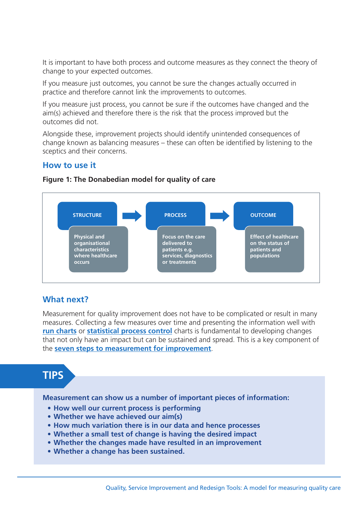It is important to have both process and outcome measures as they connect the theory of change to your expected outcomes.

If you measure just outcomes, you cannot be sure the changes actually occurred in practice and therefore cannot link the improvements to outcomes.

If you measure just process, you cannot be sure if the outcomes have changed and the aim(s) achieved and therefore there is the risk that the process improved but the outcomes did not.

Alongside these, improvement projects should identify unintended consequences of change known as balancing measures – these can often be identified by listening to the sceptics and their concerns.

#### **How to use it**



#### **Figure 1: The Donabedian model for quality of care**

#### **What next?**

Measurement for quality improvement does not have to be complicated or result in many measures. Collecting a few measures over time and presenting the information well with **run [charts](https://improvement.nhs.uk/resources/run-charts)** or **[statistical](https://improvement.nhs.uk/resources/statistical-process-control-spc) process control** charts is fundamental to developing changes that not only have an impact but can be sustained and spread. This is a key component of the **seven steps to [measurement](https://improvement.nhs.uk/resources/seven-steps-measurement-improvement) for improvement**.

### **TIPS**

**Measurement can show us a number of important pieces of information:**

- **How well our current process is performing**
- **Whether we have achieved our aim(s)**
- **How much variation there is in our data and hence processes**
- **Whether a small test of change is having the desired impact**
- **Whether the changes made have resulted in an improvement**
- **Whether a change has been sustained.**